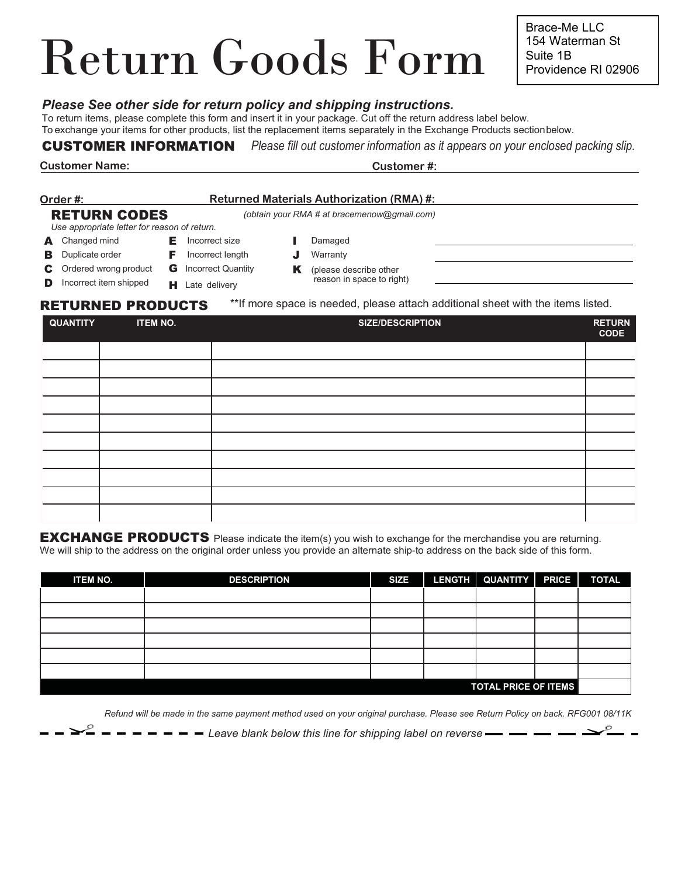# Return Goods Form

*Please See other side for return policy and shipping instructions.*

To return items, please complete this form and insert it in your package. Cut off the return address label below. To exchange your items for other products, list the replacement items separately in the Exchange Products sectionbelow.

## CUSTOMER INFORMATION *Please fill out customer information as it appears on your enclosed packing slip.*

**Customer Name: Customer #:**

#### **Order #: Returned Materials Authorization (RMA) #:** RETURN CODES *Use appropriate letter for reason of return. (obtain your RMA # at bracemenow@gmail.com)* A Changed mind **E** Incorrect size **I** Damaged

- **B** Duplicate order
- C Ordered wrong product **G** Incorrect Quantity
- **D** Incorrect item shipped
- 
- **F** Incorrect length

**H** Late delivery

- **J** Warranty
- K (please describe other reason in space to right)
- 

RETURNED PRODUCTS \*\*If more space is needed, please attach additional sheet with the items listed.

| <b>QUANTITY</b> | <b>ITEM NO.</b> | <b>SIZE/DESCRIPTION</b> | <b>RETURN</b><br><b>CODE</b> |
|-----------------|-----------------|-------------------------|------------------------------|
|                 |                 |                         |                              |
|                 |                 |                         |                              |
|                 |                 |                         |                              |
|                 |                 |                         |                              |
|                 |                 |                         |                              |
|                 |                 |                         |                              |
|                 |                 |                         |                              |
|                 |                 |                         |                              |
|                 |                 |                         |                              |
|                 |                 |                         |                              |

EXCHANGE PRODUCTS Please indicate the item(s) you wish to exchange for the merchandise you are returning. We will ship to the address on the original order unless you provide an alternate ship-to address on the back side of this form.

| <b>ITEM NO.</b>             | <b>DESCRIPTION</b> | <b>SIZE</b> |  | LENGTH QUANTITY PRICE |  | <b>TOTAL</b> |  |
|-----------------------------|--------------------|-------------|--|-----------------------|--|--------------|--|
|                             |                    |             |  |                       |  |              |  |
|                             |                    |             |  |                       |  |              |  |
|                             |                    |             |  |                       |  |              |  |
|                             |                    |             |  |                       |  |              |  |
|                             |                    |             |  |                       |  |              |  |
|                             |                    |             |  |                       |  |              |  |
| <b>TOTAL PRICE OF ITEMS</b> |                    |             |  |                       |  |              |  |

*Refund will be made in the same payment method used on your original purchase. Please see Return Policy on back. RFG001 08/11K*

 $- - -$  Leave blank below this line for shipping label on reverse-

Brace-Me LLC 154 Waterman St Suite 1B Providence RI 02906